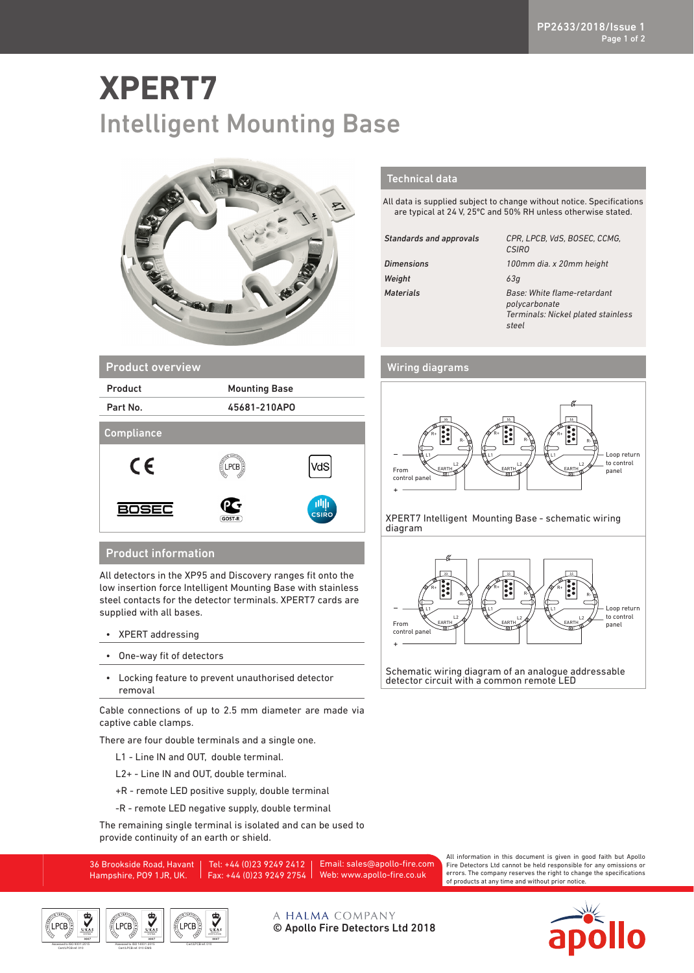## **XPERT7** Intelligent Mounting Base



## Technical data

All data is supplied subject to change without notice. Specifications are typical at 24 V, 25ºC and 50% RH unless otherwise stated.

| <b>Standards and approvals</b> | CPR, LPCB, VdS, BOSEC, CCMG,<br><b>CSIRO</b>                                                |
|--------------------------------|---------------------------------------------------------------------------------------------|
| <b>Dimensions</b>              | 100mm dia. x 20mm height                                                                    |
| Weight                         | 63q                                                                                         |
| <b>Materials</b>               | Base: White flame-retardant<br>polycarbonate<br>Terminals: Nickel plated stainless<br>steel |

## Wiring diagrams



XPERT7 Intelligent Mounting Base - schematic wiring diagram



Schematic wiring diagram of an analogue addressable detector circuit with a common remote LED

| <b>Product overview</b> |          |                      |  |
|-------------------------|----------|----------------------|--|
| Product                 |          | <b>Mounting Base</b> |  |
| Part No.                |          | 45681-210APO         |  |
| <b>Compliance</b>       |          |                      |  |
| CE                      | g<br>PCB | VdS                  |  |
| )SEC                    | GOST-R   | 曲<br><b>CSIRO</b>    |  |

## Product information

All detectors in the XP95 and Discovery ranges fit onto the low insertion force Intelligent Mounting Base with stainless steel contacts for the detector terminals. XPERT7 cards are supplied with all bases.

- XPERT addressing
- One-way fit of detectors
- Locking feature to prevent unauthorised detector removal

Cable connections of up to 2.5 mm diameter are made via captive cable clamps.

There are four double terminals and a single one.

- L1 Line IN and OUT, double terminal.
- L2+ Line IN and OUT, double terminal.
- +R remote LED positive supply, double terminal
- -R remote LED negative supply, double terminal

The remaining single terminal is isolated and can be used to provide continuity of an earth or shield.

36 Brookside Road, Havant Hampshire, PO9 1JR, UK. Tel: +44 (0)23 9249 2412 Fax: +44 (0)23 9249 2754 Email: sales@apollo-fire.com Web: www.apollo-fire.co.uk

All information in this document is given in good faith but Apollo Fire Detectors Ltd cannot be held responsible for any omissions or errors. The company reserves the right to change the specifications of products at any time and without prior notice.





A HALMA COMPANY © Apollo Fire Detectors Ltd 2018